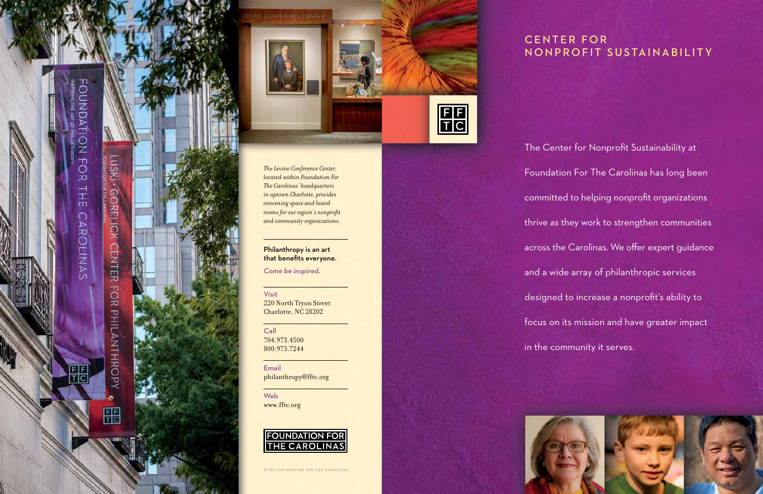# CENTER FOR NONPROFIT SUSTAINABILITY

The Center for Nonprofit Sustainability at Foundation For The Carolinas has long been committed to helping nonprofit organizations thrive as they work to strengthen communities across the Carolinas. We offer expert guidance and a wide array of philanthropic services designed to increase a nonprofit's ability to focus on its mission and have greater impact in the community it serves.